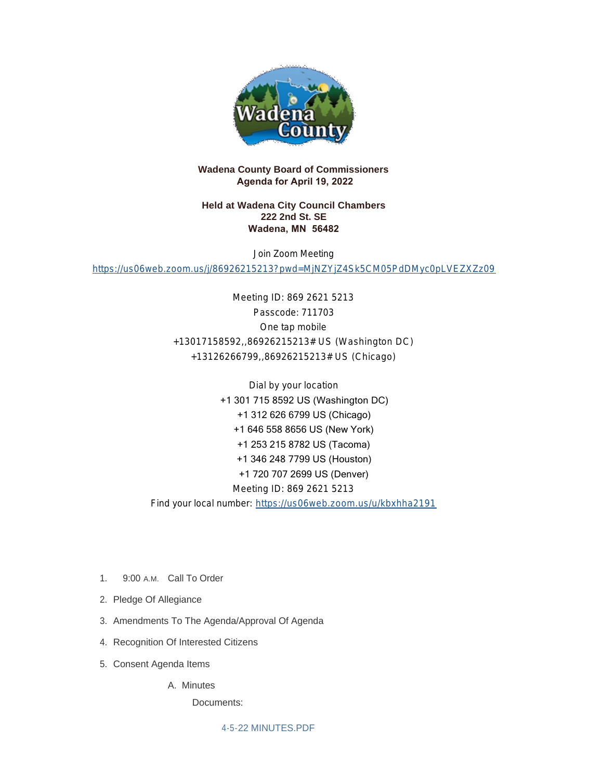

## **Wadena County Board of Commissioners Agenda for April 19, 2022**

### **Held at Wadena City Council Chambers 222 2nd St. SE Wadena, MN 56482**

Join Zoom Meeting

<https://us06web.zoom.us/j/86926215213?pwd=MjNZYjZ4Sk5CM05PdDMyc0pLVEZXZz09>

Meeting ID: 869 2621 5213 Passcode: 711703 One tap mobile +13017158592,,86926215213# US (Washington DC) +13126266799,,86926215213# US (Chicago)

Dial by your location +1 301 715 8592 US (Washington DC) +1 312 626 6799 US (Chicago) +1 646 558 8656 US (New York) +1 253 215 8782 US (Tacoma) +1 346 248 7799 US (Houston) +1 720 707 2699 US (Denver) Meeting ID: 869 2621 5213 Find your local number: <https://us06web.zoom.us/u/kbxhha2191>

- 1. 9:00 A.M. Call To Order
- 2. Pledge Of Allegiance
- 3. Amendments To The Agenda/Approval Of Agenda
- 4. Recognition Of Interested Citizens
- 5. Consent Agenda Items

A. Minutes

Documents:

[4-5-22 MINUTES.PDF](http://mn-wadenacounty.civicplus.com/AgendaCenter/ViewFile/Item/4950?fileID=7225)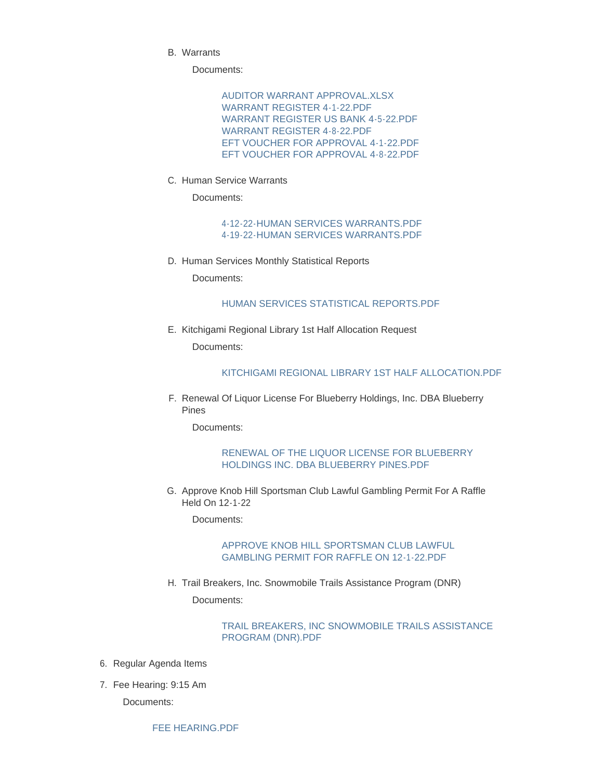Warrants B.

Documents:

[AUDITOR WARRANT APPROVAL.XLSX](http://mn-wadenacounty.civicplus.com/AgendaCenter/ViewFile/Item/4949?fileID=7222) [WARRANT REGISTER 4-1-22.PDF](http://mn-wadenacounty.civicplus.com/AgendaCenter/ViewFile/Item/4949?fileID=7219) [WARRANT REGISTER US BANK 4-5-22.PDF](http://mn-wadenacounty.civicplus.com/AgendaCenter/ViewFile/Item/4949?fileID=7220) [WARRANT REGISTER 4-8-22.PDF](http://mn-wadenacounty.civicplus.com/AgendaCenter/ViewFile/Item/4949?fileID=7221) [EFT VOUCHER FOR APPROVAL 4-1-22.PDF](http://mn-wadenacounty.civicplus.com/AgendaCenter/ViewFile/Item/4949?fileID=7223) [EFT VOUCHER FOR APPROVAL 4-8-22.PDF](http://mn-wadenacounty.civicplus.com/AgendaCenter/ViewFile/Item/4949?fileID=7224)

C. Human Service Warrants

Documents:

[4-12-22-HUMAN SERVICES WARRANTS.PDF](http://mn-wadenacounty.civicplus.com/AgendaCenter/ViewFile/Item/4951?fileID=7227) [4-19-22-HUMAN SERVICES WARRANTS.PDF](http://mn-wadenacounty.civicplus.com/AgendaCenter/ViewFile/Item/4951?fileID=7231)

D. Human Services Monthly Statistical Reports

Documents:

## [HUMAN SERVICES STATISTICAL REPORTS.PDF](http://mn-wadenacounty.civicplus.com/AgendaCenter/ViewFile/Item/4954?fileID=7232)

E. Kitchigami Regional Library 1st Half Allocation Request Documents:

#### [KITCHIGAMI REGIONAL LIBRARY 1ST HALF ALLOCATION.PDF](http://mn-wadenacounty.civicplus.com/AgendaCenter/ViewFile/Item/4952?fileID=7228)

F. Renewal Of Liquor License For Blueberry Holdings, Inc. DBA Blueberry Pines

Documents:

#### [RENEWAL OF THE LIQUOR LICENSE FOR BLUEBERRY](http://mn-wadenacounty.civicplus.com/AgendaCenter/ViewFile/Item/4942?fileID=7230)  HOLDINGS INC. DBA BLUEBERRY PINES.PDF

G. Approve Knob Hill Sportsman Club Lawful Gambling Permit For A Raffle Held On 12-1-22

Documents:

### [APPROVE KNOB HILL SPORTSMAN CLUB LAWFUL](http://mn-wadenacounty.civicplus.com/AgendaCenter/ViewFile/Item/4956?fileID=7234)  GAMBLING PERMIT FOR RAFFLE ON 12-1-22.PDF

H. Trail Breakers, Inc. Snowmobile Trails Assistance Program (DNR) Documents:

### [TRAIL BREAKERS, INC SNOWMOBILE TRAILS ASSISTANCE](http://mn-wadenacounty.civicplus.com/AgendaCenter/ViewFile/Item/4953?fileID=7229)  PROGRAM (DNR).PDF

- 6. Regular Agenda Items
- 7. Fee Hearing: 9:15 Am

Documents:

[FEE HEARING.PDF](http://mn-wadenacounty.civicplus.com/AgendaCenter/ViewFile/Item/4925?fileID=7226)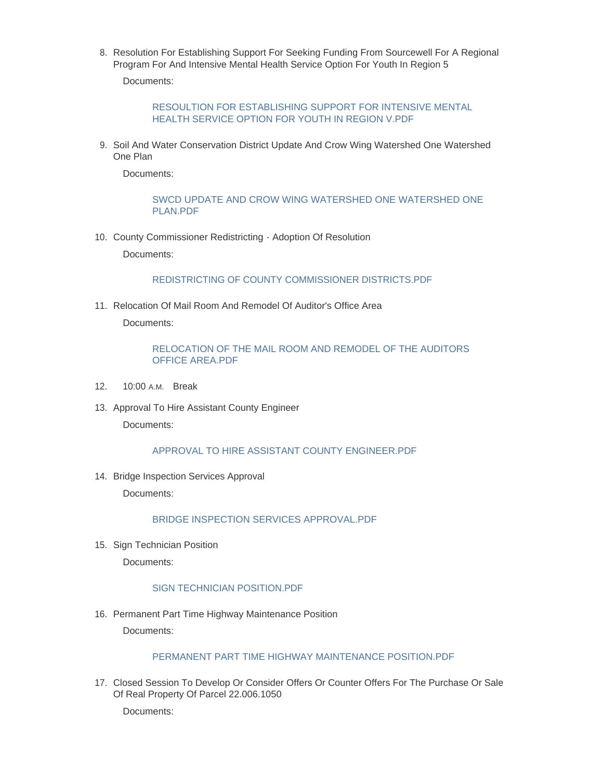8. Resolution For Establishing Support For Seeking Funding From Sourcewell For A Regional Program For And Intensive Mental Health Service Option For Youth In Region 5

Documents:

[RESOULTION FOR ESTABLISHING SUPPORT FOR INTENSIVE MENTAL](http://mn-wadenacounty.civicplus.com/AgendaCenter/ViewFile/Item/4955?fileID=7233)  HEALTH SERVICE OPTION FOR YOUTH IN REGION V.PDF

9. Soil And Water Conservation District Update And Crow Wing Watershed One Watershed One Plan

Documents:

[SWCD UPDATE AND CROW WING WATERSHED ONE WATERSHED ONE](http://mn-wadenacounty.civicplus.com/AgendaCenter/ViewFile/Item/4947?fileID=7235)  PLAN.PDF

10. County Commissioner Redistricting - Adoption Of Resolution

Documents:

[REDISTRICTING OF COUNTY COMMISSIONER DISTRICTS.PDF](http://mn-wadenacounty.civicplus.com/AgendaCenter/ViewFile/Item/4822?fileID=7242)

11. Relocation Of Mail Room And Remodel Of Auditor's Office Area Documents:

### [RELOCATION OF THE MAIL ROOM AND REMODEL OF THE AUDITORS](http://mn-wadenacounty.civicplus.com/AgendaCenter/ViewFile/Item/4948?fileID=7237)  OFFICE AREA.PDF

- 12. 10:00 A.M. Break
- 13. Approval To Hire Assistant County Engineer

Documents:

#### [APPROVAL TO HIRE ASSISTANT COUNTY ENGINEER.PDF](http://mn-wadenacounty.civicplus.com/AgendaCenter/ViewFile/Item/4960?fileID=7243)

14. Bridge Inspection Services Approval

Documents:

[BRIDGE INSPECTION SERVICES APPROVAL.PDF](http://mn-wadenacounty.civicplus.com/AgendaCenter/ViewFile/Item/4961?fileID=7244)

15. Sign Technician Position

Documents:

#### [SIGN TECHNICIAN POSITION.PDF](http://mn-wadenacounty.civicplus.com/AgendaCenter/ViewFile/Item/4962?fileID=7245)

16. Permanent Part Time Highway Maintenance Position

Documents:

### [PERMANENT PART TIME HIGHWAY MAINTENANCE POSITION.PDF](http://mn-wadenacounty.civicplus.com/AgendaCenter/ViewFile/Item/4963?fileID=7246)

17. Closed Session To Develop Or Consider Offers Or Counter Offers For The Purchase Or Sale Of Real Property Of Parcel 22.006.1050

Documents: